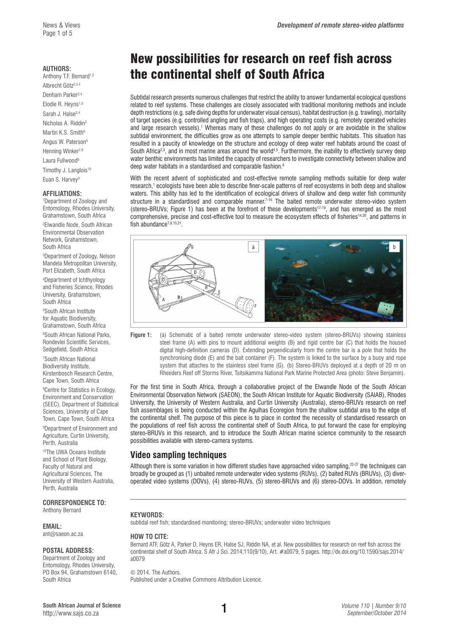#### **AUTHORS:**

Anthony T.F. Bernard<sup>1,2</sup> Albrecht Götz<sup>2,3,4</sup> Denham Parker<sup>2,4</sup> Elodie R. Heyns<sup>1,5</sup> Sarah J. Halse<sup>2,4</sup> Nicholas A. Riddin2 Martin K.S. Smith<sup>6</sup> Angus W. Paterson<sup>5</sup> Henning Winker<sup>7,8</sup> Laura Fullwood<sup>9</sup> Timothy J. Langlois<sup>10</sup> Euan S. Harvev<sup>9</sup>

#### **AFFILIATIONS:**

1 Department of Zoology and Entomology, Rhodes University, Grahamstown, South Africa

2 Elwandle Node, South African Environmental Observation Network, Grahamstown, South Africa

3 Department of Zoology, Nelson Mandela Metropolitan University, Port Elizabeth, South Africa

4 Department of Ichthyology and Fisheries Science, Rhodes University, Grahamstown, South Africa

5 South African Institute for Aquatic Biodiversity, Grahamstown, South Africa 6 South African National Parks, Rondevlei Scientific Services,

Sedgefield, South Africa 7 South African National Biodiversity Institute, Kirstenbosch Research Centre, Cape Town, South Africa

8 Centre for Statistics in Ecology, Environment and Conservation (SEEC), Department of Statistical Sciences, University of Cape Town, Cape Town, South Africa 9 Department of Environment and Agriculture, Curtin University, Perth, Australia

10The UWA Oceans Institute and School of Plant Biology, Faculty of Natural and Agricultural Sciences, The University of Western Australia, Perth, Australia

#### **CORRESPONDENCE TO:**  Anthony Bernard

**EMAIL:** 

[ant@saeon.ac.za](mailto:ant@saeon.ac.za)

#### **POSTAL ADDRESS:**

Department of Zoology and Entomology, Rhodes University, PO Box 94, Grahamstown 6140, South Africa

# New possibilities for research on reef fish across the continental shelf of South Africa

Subtidal research presents numerous challenges that restrict the ability to answer fundamental ecological questions related to reef systems. These challenges are closely associated with traditional monitoring methods and include depth restrictions (e.g. safe diving depths for underwater visual census), habitat destruction (e.g. trawling), mortality of target species (e.g. controlled angling and fish traps), and high operating costs (e.g. remotely operated vehicles and large research vessels).<sup>1</sup> Whereas many of these challenges do not apply or are avoidable in the shallow subtidal environment, the difficulties grow as one attempts to sample deeper benthic habitats. This situation has resulted in a paucity of knowledge on the structure and ecology of deep water reef habitats around the coast of South Africa<sup>2,3</sup>, and in most marine areas around the world<sup>4,5</sup>. Furthermore, the inability to effectively survey deep water benthic environments has limited the capacity of researchers to investigate connectivity between shallow and deep water habitats in a standardised and comparable fashion.<sup>6</sup>

With the recent advent of sophisticated and cost-effective remote sampling methods suitable for deep water research,<sup>1</sup> ecologists have been able to describe finer-scale patterns of reef ecosystems in both deep and shallow waters. This ability has led to the identification of ecological drivers of shallow and deep water fish community structure in a standardised and comparable manner.<sup>7-16</sup> The baited remote underwater stereo-video system (stereo-BRUVs; Figure 1) has been at the forefront of these developments<sup>17-19</sup>, and has emerged as the most comprehensive, precise and cost-effective tool to measure the ecosystem effects of fisheries<sup>14,20</sup>, and patterns in fish abundance<sup>7,8,15,21</sup>.



**Figure 1:** (a) Schematic of a baited remote underwater stereo-video system (stereo-BRUVs) showing stainless steel frame (A) with pins to mount additional weights (B) and rigid centre bar (C) that holds the housed digital high-definition cameras (D). Extending perpendicularly from the centre bar is a pole that holds the synchronising diode (E) and the bait container (F). The system is linked to the surface by a buoy and rope system that attaches to the stainless steel frame (G). (b) Stereo-BRUVs deployed at a depth of 20 m on Rheeders Reef off Storms River, Tsitsikamma National Park Marine Protected Area (photo: Steve Benjamin).

For the first time in South Africa, through a collaborative project of the Elwandle Node of the South African Environmental Observation Network (SAEON), the South African Institute for Aquatic Biodiversity (SAIAB), Rhodes University, the University of Western Australia, and Curtin University (Australia), stereo-BRUVs research on reef fish assemblages is being conducted within the Agulhas Ecoregion from the shallow subtidal area to the edge of the continental shelf. The purpose of this piece is to place in context the necessity of standardised research on the populations of reef fish across the continental shelf of South Africa, to put forward the case for employing stereo-BRUVs in this research, and to introduce the South African marine science community to the research possibilities available with stereo-camera systems.

# **Video sampling techniques**

Although there is some variation in how different studies have approached video sampling, 22-27 the techniques can broadly be grouped as (1) unbaited remote underwater video systems (RUVs), (2) baited RUVs (BRUVs), (3) diveroperated video systems (DOVs), (4) stereo-RUVs, (5) stereo-BRUVs and (6) stereo-DOVs. In addition, remotely

## **KEYWORDS:**

subtidal reef fish; standardised monitoring; stereo-BRUVs; underwater video techniques

### **HOW TO CITE:**

Bernard ATF, Götz A, Parker D, Heyns ER, Halse SJ, Riddin NA, et al. New possibilities for research on reef fish across the continental shelf of South Africa. S Afr J Sci. 2014;110(9/10), Art. #a0079, 5 pages. [http://dx.doi.org/10.1590/sajs.2014/](http://dx.doi.org/10.1590/sajs.2014/a0079) [a0079](http://dx.doi.org/10.1590/sajs.2014/a0079)

## © 2014. The Authors. Published under a Creative Commons Attribution Licence.

**South African Journal of Science**  <http://www.sajs.co.za>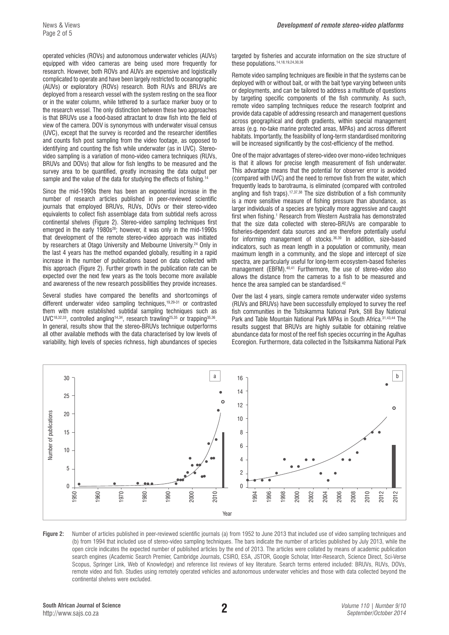operated vehicles (ROVs) and autonomous underwater vehicles (AUVs) equipped with video cameras are being used more frequently for research. However, both ROVs and AUVs are expensive and logistically complicated to operate and have been largely restricted to oceanographic (AUVs) or exploratory (ROVs) research. Both RUVs and BRUVs are deployed from a research vessel with the system resting on the sea floor or in the water column, while tethered to a surface marker buoy or to the research vessel. The only distinction between these two approaches is that BRUVs use a food-based attractant to draw fish into the field of view of the camera. DOV is synonymous with underwater visual census (UVC), except that the survey is recorded and the researcher identifies and counts fish post sampling from the video footage, as opposed to identifying and counting the fish while underwater (as in UVC). Stereovideo sampling is a variation of mono-video camera techniques (RUVs, BRUVs and DOVs) that allow for fish lengths to be measured and the survey area to be quantified, greatly increasing the data output per sample and the value of the data for studying the effects of fishing.<sup>14</sup>

Since the mid-1990s there has been an exponential increase in the number of research articles published in peer-reviewed scientific journals that employed BRUVs, RUVs, DOVs or their stereo-video equivalents to collect fish assemblage data from subtidal reefs across continental shelves (Figure 2). Stereo-video sampling techniques first emerged in the early 1980s<sup>28</sup>; however, it was only in the mid-1990s that development of the remote stereo-video approach was initiated by researchers at Otago University and Melbourne University.24 Only in the last 4 years has the method expanded globally, resulting in a rapid increase in the number of publications based on data collected with this approach (Figure 2). Further growth in the publication rate can be expected over the next few years as the tools become more available and awareness of the new research possibilities they provide increases.

Several studies have compared the benefits and shortcomings of different underwater video sampling techniques,<sup>19,29-31</sup> or contrasted them with more established subtidal sampling techniques such as UVC<sup>18,32,33</sup>, controlled angling<sup>14,34</sup>, research trawling<sup>25,35</sup> or trapping<sup>35,36</sup>. In general, results show that the stereo-BRUVs technique outperforms all other available methods with the data characterised by low levels of variability, high levels of species richness, high abundances of species targeted by fisheries and accurate information on the size structure of these populations.14,18,19,24,30,36

Remote video sampling techniques are flexible in that the systems can be deployed with or without bait, or with the bait type varying between units or deployments, and can be tailored to address a multitude of questions by targeting specific components of the fish community. As such, remote video sampling techniques reduce the research footprint and provide data capable of addressing research and management questions across geographical and depth gradients, within special management areas (e.g. no-take marine protected areas, MPAs) and across different habitats. Importantly, the feasibility of long-term standardised monitoring will be increased significantly by the cost-efficiency of the method.

One of the major advantages of stereo-video over mono-video techniques is that it allows for precise length measurement of fish underwater. This advantage means that the potential for observer error is avoided (compared with UVC) and the need to remove fish from the water, which frequently leads to barotrauma, is eliminated (compared with controlled angling and fish traps).17,37,38 The size distribution of a fish community is a more sensitive measure of fishing pressure than abundance, as larger individuals of a species are typically more aggressive and caught first when fishing.<sup>1</sup> Research from Western Australia has demonstrated that the size data collected with stereo-BRUVs are comparable to fisheries-dependent data sources and are therefore potentially useful for informing management of stocks.36,39 In addition, size-based indicators, such as mean length in a population or community, mean maximum length in a community, and the slope and intercept of size spectra, are particularly useful for long-term ecosystem-based fisheries management (EBFM).<sup>40,41</sup> Furthermore, the use of stereo-video also allows the distance from the cameras to a fish to be measured and hence the area sampled can be standardised.<sup>42</sup>

Over the last 4 years, single camera remote underwater video systems (RUVs and BRUVs) have been successfully employed to survey the reef fish communities in the Tsitsikamma National Park, Still Bay National Park and Table Mountain National Park MPAs in South Africa. 31,43,44 The results suggest that BRUVs are highly suitable for obtaining relative abundance data for most of the reef fish species occurring in the Agulhas Ecoregion. Furthermore, data collected in the Tsitsikamma National Park



**Figure 2:** Number of articles published in peer-reviewed scientific journals (a) from 1952 to June 2013 that included use of video sampling techniques and (b) from 1994 that included use of stereo-video sampling techniques. The bars indicate the number of articles published by July 2013, while the open circle indicates the expected number of published articles by the end of 2013. The articles were collated by means of academic publication search engines (Academic Search Premier, Cambridge Journals, CSIRO, ESA, JSTOR, Google Scholar, Inter-Research, Science Direct, Sci-Verse Scopus, Springer Link, Web of Knowledge) and reference list reviews of key literature. Search terms entered included: BRUVs, RUVs, DOVs, remote video and fish. Studies using remotely operated vehicles and autonomous underwater vehicles and those with data collected beyond the continental shelves were excluded.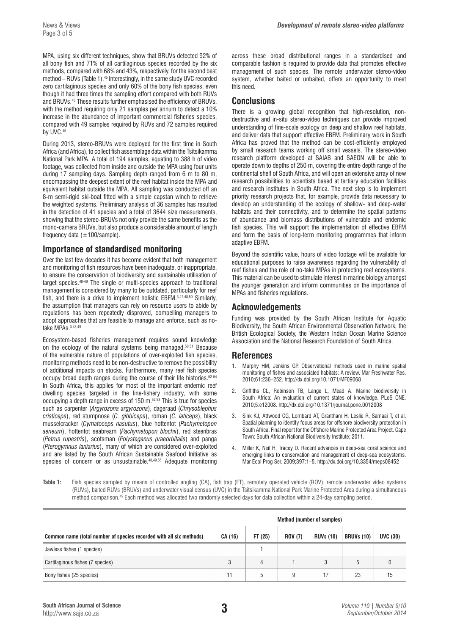MPA, using six different techniques, show that BRUVs detected 92% of all bony fish and 71% of all cartilaginous species recorded by the six methods, compared with 68% and 43%, respectively, for the second best method – RUVs (Table 1).<sup>45</sup> Interestingly, in the same study UVC recorded zero cartilaginous species and only 60% of the bony fish species, even though it had three times the sampling effort compared with both RUVs and BRUVs.45 These results further emphasised the efficiency of BRUVs, with the method requiring only 21 samples per annum to detect a 10% increase in the abundance of important commercial fisheries species, compared with 49 samples required by RUVs and 72 samples required by UVC.<sup>45</sup>

During 2013, stereo-BRUVs were deployed for the first time in South Africa (and Africa), to collect fish assemblage data within the Tsitsikamma National Park MPA. A total of 194 samples, equating to 388 h of video footage, was collected from inside and outside the MPA using four units during 17 sampling days. Sampling depth ranged from 6 m to 80 m, encompassing the deepest extent of the reef habitat inside the MPA and equivalent habitat outside the MPA. All sampling was conducted off an 8-m semi-rigid ski-boat fitted with a simple capstan winch to retrieve the weighted systems. Preliminary analysis of 36 samples has resulted in the detection of 41 species and a total of 3644 size measurements, showing that the stereo-BRUVs not only provide the same benefits as the mono-camera BRUVs, but also produce a considerable amount of length frequency data  $(\pm 100/\text{sample})$ .

# **Importance of standardised monitoring**

Over the last few decades it has become evident that both management and monitoring of fish resources have been inadequate, or inappropriate, to ensure the conservation of biodiversity and sustainable utilisation of target species.46-49 The single or multi-species approach to traditional management is considered by many to be outdated, particularly for reef fish, and there is a drive to implement holistic EBFM.3,47,48,50 Similarly, the assumption that managers can rely on resource users to abide by regulations has been repeatedly disproved, compelling managers to adopt approaches that are feasible to manage and enforce, such as notake MPAs.<sup>3,48,49</sup>

Ecosystem-based fisheries management requires sound knowledge on the ecology of the natural systems being managed.50,51 Because of the vulnerable nature of populations of over-exploited fish species, monitoring methods need to be non-destructive to remove the possibility of additional impacts on stocks. Furthermore, many reef fish species occupy broad depth ranges during the course of their life histories.52-54 In South Africa, this applies for most of the important endemic reef dwelling species targeted in the line-fishery industry, with some occupying a depth range in excess of 150 m.52,53 This is true for species such as carpenter (*Argyrozona argyrozona*), dageraad (*Chrysoblephus cristiceps*), red stumpnose (*C. gibbiceps*), roman (*C. laticeps*), black musselcracker (*Cymatoceps nasutus*), blue hottentot (*Pachymetopon aeneum*), hottentot seabream (*Pachymetopon blochii*), red steenbras (*Petrus rupestris*), scotsman (*Polysteganus praeorbitalis*) and panga (*Pterogymnus laniarius*), many of which are considered over-exploited and are listed by the South African Sustainable Seafood Initiative as species of concern or as unsustainable.<sup>48,49,55</sup> Adequate monitoring

across these broad distributional ranges in a standardised and comparable fashion is required to provide data that promotes effective management of such species. The remote underwater stereo-video system, whether baited or unbaited, offers an opportunity to meet this need.

# **Conclusions**

There is a growing global recognition that high-resolution, nondestructive and in-situ stereo-video techniques can provide improved understanding of fine-scale ecology on deep and shallow reef habitats, and deliver data that support effective EBFM. Preliminary work in South Africa has proved that the method can be cost-efficiently employed by small research teams working off small vessels. The stereo-video research platform developed at SAIAB and SAEON will be able to operate down to depths of 250 m, covering the entire depth range of the continental shelf of South Africa, and will open an extensive array of new research possibilities to scientists based at tertiary education facilities and research institutes in South Africa. The next step is to implement priority research projects that, for example, provide data necessary to develop an understanding of the ecology of shallow- and deep-water habitats and their connectivity, and to determine the spatial patterns of abundance and biomass distributions of vulnerable and endemic fish species. This will support the implementation of effective EBFM and form the basis of long-term monitoring programmes that inform adaptive EBFM.

Beyond the scientific value, hours of video footage will be available for educational purposes to raise awareness regarding the vulnerability of reef fishes and the role of no-take MPAs in protecting reef ecosystems. This material can be used to stimulate interest in marine biology amongst the younger generation and inform communities on the importance of MPAs and fisheries regulations.

# **Acknowledgements**

Funding was provided by the South African Institute for Aquatic Biodiversity, the South African Environmental Observation Network, the British Ecological Society, the Western Indian Ocean Marine Science Association and the National Research Foundation of South Africa.

## **References**

- 1. Murphy HM, Jenkins GP. Observational methods used in marine spatial monitoring of fishes and associated habitats: A review. Mar Freshwater Res. 2010;61:236–252. <http://dx.doi.org/10.1071/MF09068>
- 2. Griffiths CL, Robinson TB, Lange L, Mead A. Marine biodiversity in South Africa: An evaluation of current states of knowledge. PLoS ONE. 2010;5:e12008. <http://dx.doi.org/10.1371/journal.pone.0012008>
- 3. Sink KJ, Attwood CG, Lombard AT, Grantham H, Leslie R, Samaai T, et al. Spatial planning to identify focus areas for offshore biodiversity protection in South Africa. Final report for the Offshore Marine Protected Area Project. Cape Town: South African National Biodiversity Institute; 2011.
- 4. Miller K, Neil H, Tracey D. Recent advances in deep-sea coral science and emerging links to conservation and management of deep-sea ecosystems. Mar Ecol Prog Ser. 2009;397:1–5.<http://dx.doi.org/10.3354/meps08452>

**Table 1:** Fish species sampled by means of controlled angling (CA), fish trap (FT), remotely operated vehicle (ROV), remote underwater video systems (RUVs), baited RUVs (BRUVs) and underwater visual census (UVC) in the Tsitsikamma National Park Marine Protected Area during a simultaneous method comparison.45 Each method was allocated two randomly selected days for data collection within a 24-day sampling period.

|                                                                     | Method (number of samples) |         |                |                  |                   |                 |
|---------------------------------------------------------------------|----------------------------|---------|----------------|------------------|-------------------|-----------------|
| Common name (total number of species recorded with all six methods) | CA (16)                    | FT (25) | <b>ROV (7)</b> | <b>RUVs (10)</b> | <b>BRUVs (10)</b> | <b>UVC (30)</b> |
| Jawless fishes (1 species)                                          |                            |         |                |                  |                   |                 |
| Cartilaginous fishes (7 species)                                    | 3                          | 4       |                |                  | 5                 |                 |
| Bony fishes (25 species)                                            | 11                         |         | 9              |                  | 23                | 15              |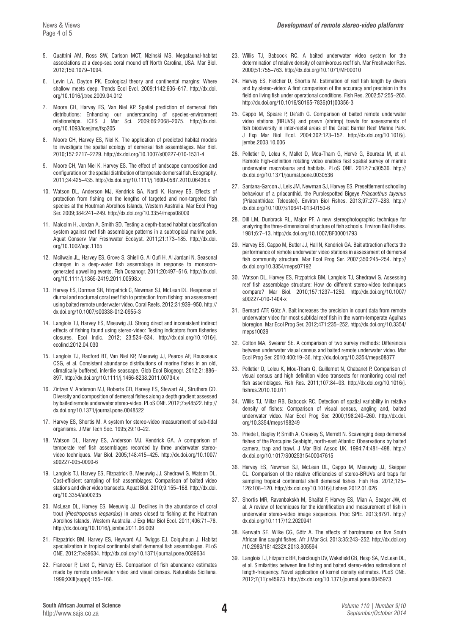- 5. Quattrini AM, Ross SW, Carlson MCT, Nizinski MS. Megafaunal-habitat associations at a deep-sea coral mound off North Carolina, USA. Mar Biol. 2012;159:1079–1094.
- 6. Levin LA, Dayton PK. Ecological theory and continental margins: Where shallow meets deep. Trends Ecol Evol. 2009;1142:606–617. [http://dx.doi.](http://dx.doi.org/10.1016/j.tree.2009.04.012) [org/10.1016/j.tree.2009.04.012](http://dx.doi.org/10.1016/j.tree.2009.04.012)
- 7. Moore CH, Harvey ES, Van Niel KP. Spatial prediction of demersal fish distributions: Enhancing our understanding of species-environment relationships. ICES J Mar Sci. 2009;66:2068–2075. [http://dx.doi.](http://dx.doi.org/10.1093/icesjms/fsp205) [org/10.1093/icesjms/fsp205](http://dx.doi.org/10.1093/icesjms/fsp205)
- 8. Moore CH, Harvey ES, Niel K. The application of predicted habitat models to investigate the spatial ecology of demersal fish assemblages. Mar Biol. 2010;157:2717–2729. <http://dx.doi.org/10.1007/s00227-010-1531-4>
- 9. Moore CH, Van Niel K, Harvey ES. The effect of landscape composition and configuration on the spatial distribution of temperate demersal fish. Ecography. 2011;34:425–435. <http://dx.doi.org/10.1111/j.1600-0587.2010.06436.x>
- 10. Watson DL, Anderson MJ, Kendrick GA, Nardi K, Harvey ES. Effects of protection from fishing on the lengths of targeted and non-targeted fish species at the Houtman Abrolhos Islands, Western Australia. Mar Ecol Prog Ser. 2009;384:241–249.<http://dx.doi.org/10.3354/meps08009>
- 11. Malcolm H, Jordan A, Smith SD. Testing a depth-based habitat classification system against reef fish assemblage patterns in a subtropical marine park. Aquat Conserv Mar Freshwater Ecosyst. 2011;21:173–185. [http://dx.doi.](http://dx.doi.org/10.1002/aqc.1165) [org/10.1002/aqc.1165](http://dx.doi.org/10.1002/aqc.1165)
- 12. Mcilwain JL, Harvey ES, Grove S, Shiell G, Al Oufi H, Al Jardani N. Seasonal changes in a deep-water fish assemblage in response to monsoongenerated upwelling events. Fish Oceanogr. 2011;20:497–516. [http://dx.doi.](http://dx.doi.org/10.1111/j.1365-2419.2011.00598.x) [org/10.1111/j.1365-2419.2011.00598.x](http://dx.doi.org/10.1111/j.1365-2419.2011.00598.x)
- 13. Harvey ES, Dorman SR, Fitzpatrick C, Newman SJ, McLean DL. Response of diurnal and nocturnal coral reef fish to protection from fishing: an assessment using baited remote underwater video. Coral Reefs. 2012;31:939–950. [http://](http://dx.doi.org/10.1007/s00338-012-0955-3) [dx.doi.org/10.1007/s00338-012-0955-3](http://dx.doi.org/10.1007/s00338-012-0955-3)
- 14. Langlois TJ, Harvey ES, Meeuwig JJ. Strong direct and inconsistent indirect effects of fishing found using stereo-video: Testing indicators from fisheries closures. Ecol Indic. 2012; 23:524–534. [http://dx.doi.org/10.1016/j.](http://dx.doi.org/10.1016/j.ecolind.2012.04.030) [ecolind.2012.04.030](http://dx.doi.org/10.1016/j.ecolind.2012.04.030)
- 15. Langlois TJ, Radford BT, Van Niel KP, Meeuwig JJ, Pearce AF, Rousseaux CSG, et al. Consistent abundance distributions of marine fishes in an old, climatically buffered, infertile seascape. Glob Ecol Biogeogr. 2012;21:886– 897. <http://dx.doi.org/10.1111/j.1466-8238.2011.00734.x>
- 16. Zintzen V, Anderson MJ, Roberts CD, Harvey ES, Stewart AL, Struthers CD. Diversity and composition of demersal fishes along a depth gradient assessed by baited remote underwater stereo-video. PLoS ONE. 2012;7:e48522. [http://](http://dx.doi.org/10.1371/journal.pone.0048522) [dx.doi.org/10.1371/journal.pone.0048522](http://dx.doi.org/10.1371/journal.pone.0048522)
- 17. Harvey ES, Shortis M. A system for stereo-video measurement of sub-tidal organisms. J Mar Tech Soc. 1995;29:10–22.
- 18. Watson DL, Harvey ES, Anderson MJ, Kendrick GA. A comparison of temperate reef fish assemblages recorded by three underwater stereovideo techniques. Mar Biol. 2005;148:415–425. [http://dx.doi.org/10.1007/](http://dx.doi.org/10.1007/s00227-005-0090-6) [s00227-005-0090-6](http://dx.doi.org/10.1007/s00227-005-0090-6)
- 19. Langlois TJ, Harvey ES, Fitzpatrick B, Meeuwig JJ, Shedrawi G, Watson DL. Cost-efficient sampling of fish assemblages: Comparison of baited video stations and diver video transects. Aquat Biol. 2010;9:155–168. [http://dx.doi.](http://dx.doi.org/10.3354/ab00235) [org/10.3354/ab00235](http://dx.doi.org/10.3354/ab00235)
- 20. McLean DL, Harvey ES, Meeuwig JJ. Declines in the abundance of coral trout (*Plectropomus leopardus*) in areas closed to fishing at the Houtman Abrolhos Islands, Western Australia. J Exp Mar Biol Ecol. 2011;406:71–78. <http://dx.doi.org/10.1016/j.jembe.2011.06.009>
- 21. Fitzpatrick BM, Harvey ES, Heyward AJ, Twiggs EJ, Colquhoun J. Habitat specialization in tropical continental shelf demersal fish assemblages. PLoS ONE. 2012;7:e39634. <http://dx.doi.org/10.1371/journal.pone.0039634>
- 22. Francour P, Liret C, Harvey ES. Comparison of fish abundance estimates made by remote underwater video and visual census. Naturalista Siciliana. 1999;XXIII(suppl):155–168.
- 23. Willis TJ, Babcock RC. A baited underwater video system for the determination of relative density of carnivorous reef fish. Mar Freshwater Res. 2000;51:755–763. <http://dx.doi.org/10.1071/MF00010>
- 24. Harvey ES, Fletcher D, Shortis M. Estimation of reef fish length by divers and by stereo-video: A first comparison of the accuracy and precision in the field on living fish under operational conditions. Fish Res. 2002;57:255–265. [http://dx.doi.org/10.1016/S0165-7836\(01\)00356-3](http://dx.doi.org/10.1016/S0165-7836%2801%2900356-3)
- 25. Cappo M, Speare P, De'ath G. Comparison of baited remote underwater video stations (BRUVS) and prawn (shrimp) trawls for assessments of fish biodiversity in inter-reefal areas of the Great Barrier Reef Marine Park. J Exp Mar Biol Ecol. 2004;302:123–152. [http://dx.doi.org/10.1016/j.](http://dx.doi.org/10.1016/j.jembe.2003.10.006) [jembe.2003.10.006](http://dx.doi.org/10.1016/j.jembe.2003.10.006)
- 26. Pelletier D, Leleu K, Mallet D, Mou-Tham G, Hervé G, Boureau M, et al. Remote high-definition rotating video enables fast spatial survey of marine underwater macrofauna and habitats. PLoS ONE. 2012;7:e30536. [http://](http://dx.doi.org/10.1371/journal.pone.0030536) [dx.doi.org/10.1371/journal.pone.0030536](http://dx.doi.org/10.1371/journal.pone.0030536)
- 27. Santana-Garcon J, Leis JM, Newman SJ, Harvey ES. Presettlement schooling behaviour of a priacanthid, the Purplespotted Bigeye *Priacanthus tayenus* (Priacanthidae: Teleostei). Environ Biol Fishes. 2013;97:277–283. [http://](http://dx.doi.org/10.1007/s10641-013-0150-6) [dx.doi.org/10.1007/s10641-013-0150-6](http://dx.doi.org/10.1007/s10641-013-0150-6)
- 28. Dill LM, Dunbrack RL, Major PF. A new stereophotographic technique for analyzing the three-dimensional structure of fish schools. Environ Biol Fishes. 1981;6:7–13. <http://dx.doi.org/10.1007/BF00001793>
- 29. Harvey ES, Cappo M, Butler JJ, Hall N, Kendrick GA. Bait attraction affects the performance of remote underwater video stations in assessment of demersal fish community structure. Mar Ecol Prog Ser. 2007;350:245–254. [http://](http://dx.doi.org/10.3354/meps07192) [dx.doi.org/10.3354/meps07192](http://dx.doi.org/10.3354/meps07192)
- 30. Watson DL, Harvey ES, Fitzpatrick BM, Langlois TJ, Shedrawi G. Assessing reef fish assemblage structure: How do different stereo-video techniques compare? Mar Biol. 2010;157:1237–1250. [http://dx.doi.org/10.1007/](http://dx.doi.org/10.1007/s00227-010-1404-x) [s00227-010-1404-x](http://dx.doi.org/10.1007/s00227-010-1404-x)
- 31. Bernard ATF, Götz A. Bait increases the precision in count data from remote underwater video for most subtidal reef fish in the warm-temperate Agulhas bioregion. Mar Ecol Prog Ser. 2012;471:235–252. [http://dx.doi.org/10.3354/](http://dx.doi.org/10.3354/meps10039) [meps10039](http://dx.doi.org/10.3354/meps10039)
- 32. Colton MA, Swearer SE. A comparison of two survey methods: Differences between underwater visual census and baited remote underwater video. Mar Ecol Prog Ser. 2010;400:19–36. <http://dx.doi.org/10.3354/meps08377>
- 33. Pelletier D, Leleu K, Mou-Tham G, Guillemot N, Chabanet P. Comparison of visual census and high definition video transects for monitoring coral reef fish assemblages. Fish Res. 2011;107:84–93. [http://dx.doi.org/10.1016/j.](http://dx.doi.org/10.1016/j.fishres.2010.10.011) [fishres.2010.10.011](http://dx.doi.org/10.1016/j.fishres.2010.10.011)
- 34. Willis TJ, Millar RB, Babcock RC. Detection of spatial variability in relative density of fishes: Comparison of visual census, angling and, baited underwater video. Mar Ecol Prog Ser. 2000;198:249–260. [http://dx.doi.](http://dx.doi.org/10.3354/meps198249) [org/10.3354/meps198249](http://dx.doi.org/10.3354/meps198249)
- 35. Priede I, Bagley P, Smith A, Creasey S, Merrett N. Scavenging deep demersal fishes of the Porcupine Seabight, north-east Atlantic: Observations by baited camera, trap and trawl. J Mar Biol Assoc UK. 1994;74:481–498. [http://](http://dx.doi.org/10.1017/S0025315400047615) [dx.doi.org/10.1017/S0025315400047615](http://dx.doi.org/10.1017/S0025315400047615)
- 36. Harvey ES, Newman SJ, McLean DL, Cappo M, Meeuwig JJ, Skepper CL. Comparison of the relative efficiencies of stereo-BRUVs and traps for sampling tropical continental shelf demersal fishes. Fish Res. 2012;125-126:108–120. <http://dx.doi.org/10.1016/j.fishres.2012.01.026>
- 37. Shortis MR, Ravanbakskh M, Shaifat F, Harvey ES, Mian A, Seager JW, et al. A review of techniques for the identification and measurement of fish in underwater stereo-video image sequences. Proc SPIE. 2013;8791. [http://](http://dx.doi.org/10.1117/12.2020941) [dx.doi.org/10.1117/12.2020941](http://dx.doi.org/10.1117/12.2020941)
- 38. Kerwath SE, Wilke CG, Götz A. The effects of barotrauma on five South African line caught fishes. Afr J Mar Sci. 2013;35:243–252. [http://dx.doi.org](http://dx.doi.org/10.2989/1814232X.2013.805594) [/10.2989/1814232X.2013.805594](http://dx.doi.org/10.2989/1814232X.2013.805594)
- 39. Langlois TJ, Fitzpatric BR, Fairclough DV, Wakefield CB, Hesp SA, McLean DL, et al. Similarities between line fishing and baited stereo-video estimations of length-frequency. Novel application of kernel density estimates. PLoS ONE. 2012;7(11):e45973. <http://dx.doi.org/10.1371/journal.pone.0045973>